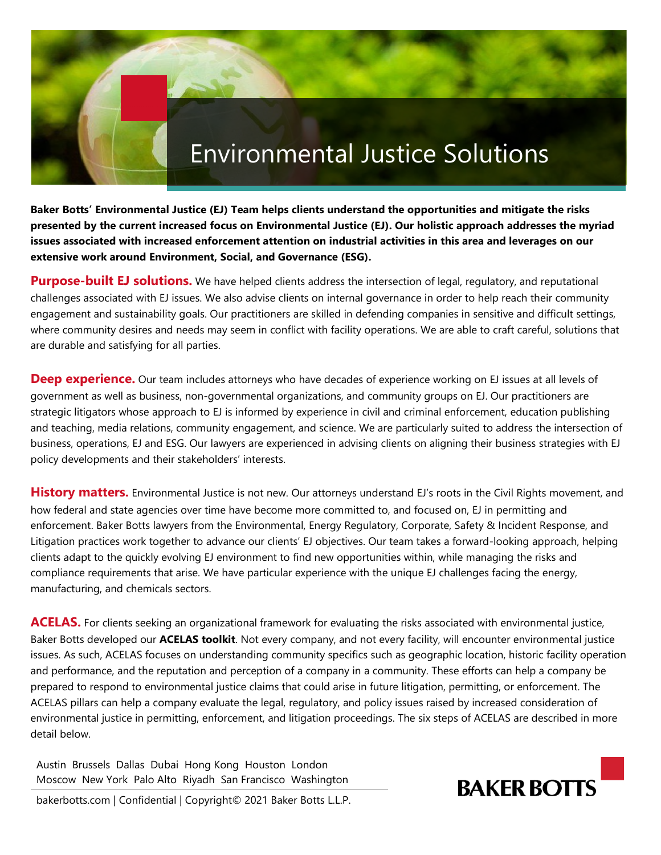# Environmental Justice Solutions

**Baker Botts' Environmental Justice (EJ) Team helps clients understand the opportunities and mitigate the risks presented by the current increased focus on Environmental Justice (EJ). Our holistic approach addresses the myriad issues associated with increased enforcement attention on industrial activities in this area and leverages on our extensive work around Environment, Social, and Governance (ESG).** 

**Purpose-built EJ solutions.** We have helped clients address the intersection of legal, regulatory, and reputational challenges associated with EJ issues. We also advise clients on internal governance in order to help reach their community engagement and sustainability goals. Our practitioners are skilled in defending companies in sensitive and difficult settings, where community desires and needs may seem in conflict with facility operations. We are able to craft careful, solutions that are durable and satisfying for all parties.

**Deep experience.** Our team includes attorneys who have decades of experience working on EJ issues at all levels of government as well as business, non-governmental organizations, and community groups on EJ. Our practitioners are strategic litigators whose approach to EJ is informed by experience in civil and criminal enforcement, education publishing and teaching, media relations, community engagement, and science. We are particularly suited to address the intersection of business, operations, EJ and ESG. Our lawyers are experienced in advising clients on aligning their business strategies with EJ policy developments and their stakeholders' interests.

**History matters.** Environmental Justice is not new. Our attorneys understand EJ's roots in the Civil Rights movement, and how federal and state agencies over time have become more committed to, and focused on, EJ in permitting and enforcement. Baker Botts lawyers from the Environmental, Energy Regulatory, Corporate, Safety & Incident Response, and Litigation practices work together to advance our clients' EJ objectives. Our team takes a forward-looking approach, helping clients adapt to the quickly evolving EJ environment to find new opportunities within, while managing the risks and compliance requirements that arise. We have particular experience with the unique EJ challenges facing the energy, manufacturing, and chemicals sectors.

**ACELAS.** For clients seeking an organizational framework for evaluating the risks associated with environmental justice, Baker Botts developed our **ACELAS toolkit**. Not every company, and not every facility, will encounter environmental justice issues. As such, ACELAS focuses on understanding community specifics such as geographic location, historic facility operation and performance, and the reputation and perception of a company in a community. These efforts can help a company be prepared to respond to environmental justice claims that could arise in future litigation, permitting, or enforcement. The ACELAS pillars can help a company evaluate the legal, regulatory, and policy issues raised by increased consideration of environmental justice in permitting, enforcement, and litigation proceedings. The six steps of ACELAS are described in more detail below.

Austin Brussels Dallas Dubai Hong Kong Houston London Moscow New York Palo Alto Riyadh San Francisco Washington

bakerbotts.com | Confidential | Copyright© 2021 Baker Botts L.L.P.

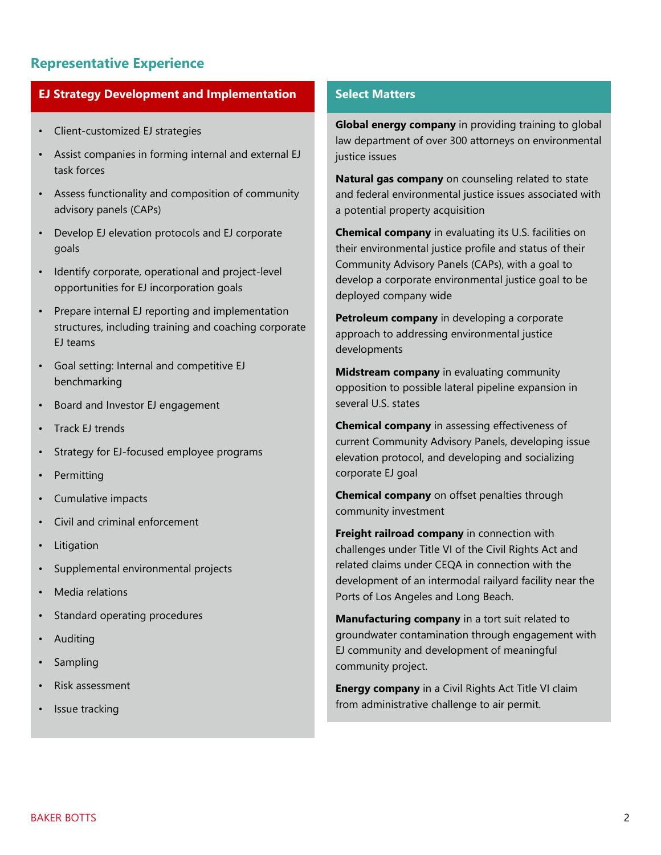## **Representative Experience**

### **EJ Strategy Development and Implementation**

- Client-customized EJ strategies
- Assist companies in forming internal and external EJ task forces
- Assess functionality and composition of community advisory panels (CAPs)
- Develop EJ elevation protocols and EJ corporate goals
- Identify corporate, operational and project-level opportunities for EJ incorporation goals
- Prepare internal EJ reporting and implementation structures, including training and coaching corporate EJ teams
- Goal setting: Internal and competitive EJ benchmarking
- Board and Investor EJ engagement
- Track EJ trends
- Strategy for EJ-focused employee programs
- **Permitting**
- Cumulative impacts
- Civil and criminal enforcement
- **Litigation**
- Supplemental environmental projects
- Media relations
- Standard operating procedures
- Auditing
- **Sampling**
- Risk assessment
- Issue tracking

#### **Select Matters**

**Global energy company** in providing training to global law department of over 300 attorneys on environmental justice issues

**Natural gas company** on counseling related to state and federal environmental justice issues associated with a potential property acquisition

**Chemical company** in evaluating its U.S. facilities on their environmental justice profile and status of their Community Advisory Panels (CAPs), with a goal to develop a corporate environmental justice goal to be deployed company wide

**Petroleum company** in developing a corporate approach to addressing environmental justice developments

**Midstream company** in evaluating community opposition to possible lateral pipeline expansion in several U.S. states

**Chemical company** in assessing effectiveness of current Community Advisory Panels, developing issue elevation protocol, and developing and socializing corporate EJ goal

**Chemical company** on offset penalties through community investment

**Freight railroad company** in connection with challenges under Title VI of the Civil Rights Act and related claims under CEQA in connection with the development of an intermodal railyard facility near the Ports of Los Angeles and Long Beach.

**Manufacturing company** in a tort suit related to groundwater contamination through engagement with EJ community and development of meaningful community project.

**Energy company** in a Civil Rights Act Title VI claim from administrative challenge to air permit.